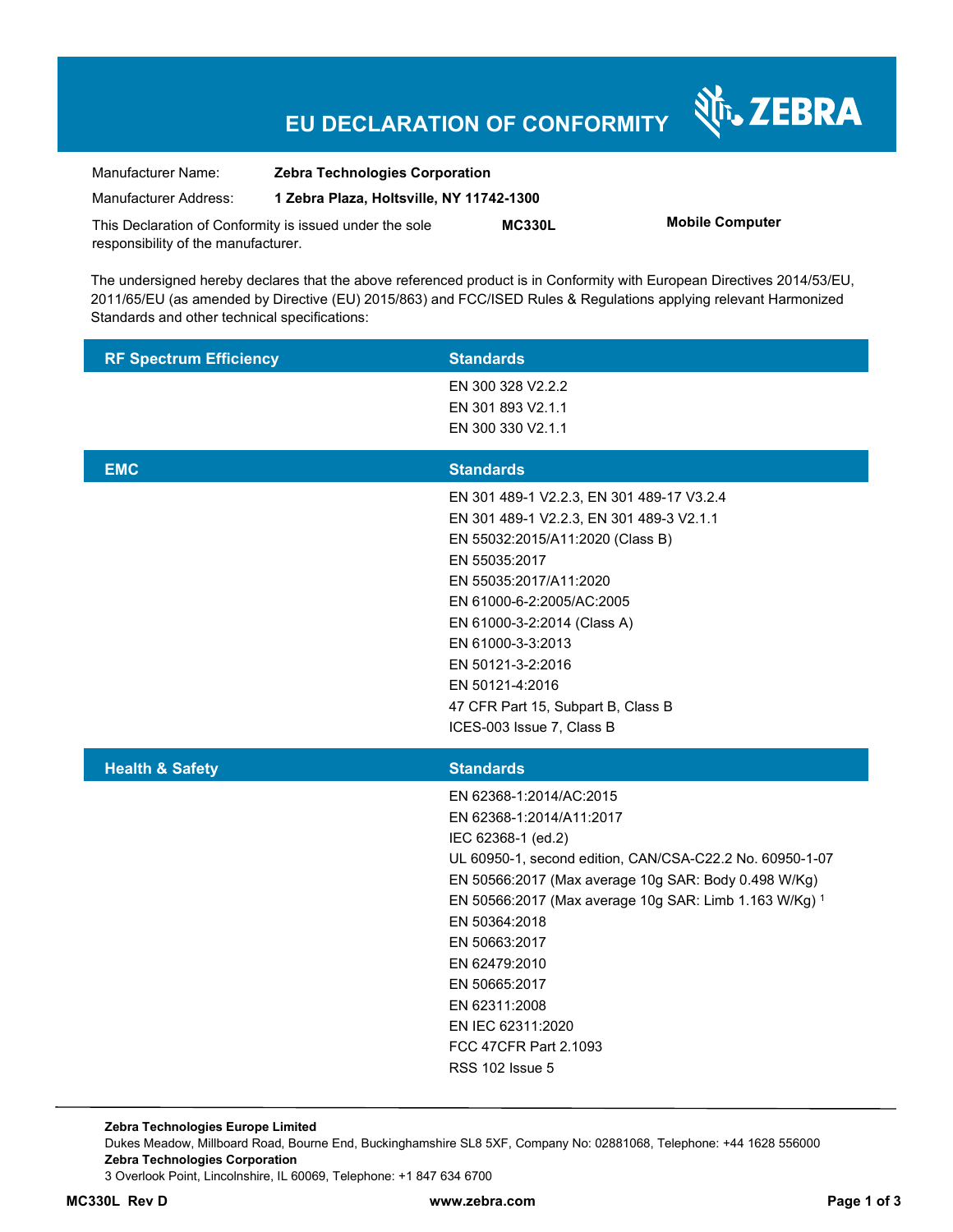# **EU DECLARATION OF CONFORMITY**

Nr. ZEBRA

| Manufacturer Name:                  | <b>Zebra Technologies Corporation</b>                   |               |                        |
|-------------------------------------|---------------------------------------------------------|---------------|------------------------|
| Manufacturer Address:               | 1 Zebra Plaza, Holtsville, NY 11742-1300                |               |                        |
|                                     | This Declaration of Conformity is issued under the sole | <b>MC330L</b> | <b>Mobile Computer</b> |
| responsibility of the manufacturer. |                                                         |               |                        |

The undersigned hereby declares that the above referenced product is in Conformity with European Directives 2014/53/EU, 2011/65/EU (as amended by Directive (EU) 2015/863) and FCC/ISED Rules & Regulations applying relevant Harmonized Standards and other technical specifications:

| <b>RF Spectrum Efficiency</b> | <b>Standards</b>                                                                                                                                                                                                                                                                                                                                                                                              |
|-------------------------------|---------------------------------------------------------------------------------------------------------------------------------------------------------------------------------------------------------------------------------------------------------------------------------------------------------------------------------------------------------------------------------------------------------------|
|                               | EN 300 328 V2.2.2<br>EN 301 893 V2.1.1<br>EN 300 330 V2.1.1                                                                                                                                                                                                                                                                                                                                                   |
| <b>EMC</b>                    | <b>Standards</b>                                                                                                                                                                                                                                                                                                                                                                                              |
|                               | EN 301 489-1 V2.2.3, EN 301 489-17 V3.2.4<br>EN 301 489-1 V2.2.3, EN 301 489-3 V2.1.1<br>EN 55032:2015/A11:2020 (Class B)<br>EN 55035:2017<br>EN 55035:2017/A11:2020<br>EN 61000-6-2:2005/AC:2005<br>EN 61000-3-2:2014 (Class A)<br>EN 61000-3-3:2013<br>EN 50121-3-2:2016<br>EN 50121-4:2016<br>47 CFR Part 15, Subpart B, Class B<br>ICES-003 Issue 7, Class B                                              |
| <b>Health &amp; Safety</b>    | <b>Standards</b>                                                                                                                                                                                                                                                                                                                                                                                              |
|                               | EN 62368-1:2014/AC:2015<br>EN 62368-1:2014/A11:2017<br>IEC 62368-1 (ed.2)<br>UL 60950-1, second edition, CAN/CSA-C22.2 No. 60950-1-07<br>EN 50566:2017 (Max average 10g SAR: Body 0.498 W/Kg)<br>EN 50566:2017 (Max average 10g SAR: Limb 1.163 W/Kg) 1<br>EN 50364:2018<br>EN 50663:2017<br>EN 62479:2010<br>EN 50665:2017<br>EN 62311:2008<br>EN IEC 62311:2020<br>FCC 47CFR Part 2.1093<br>RSS 102 Issue 5 |

**Zebra Technologies Europe Limited**  Dukes Meadow, Millboard Road, Bourne End, Buckinghamshire SL8 5XF, Company No: 02881068, Telephone: +44 1628 556000 **Zebra Technologies Corporation**  3 Overlook Point, Lincolnshire, IL 60069, Telephone: +1 847 634 6700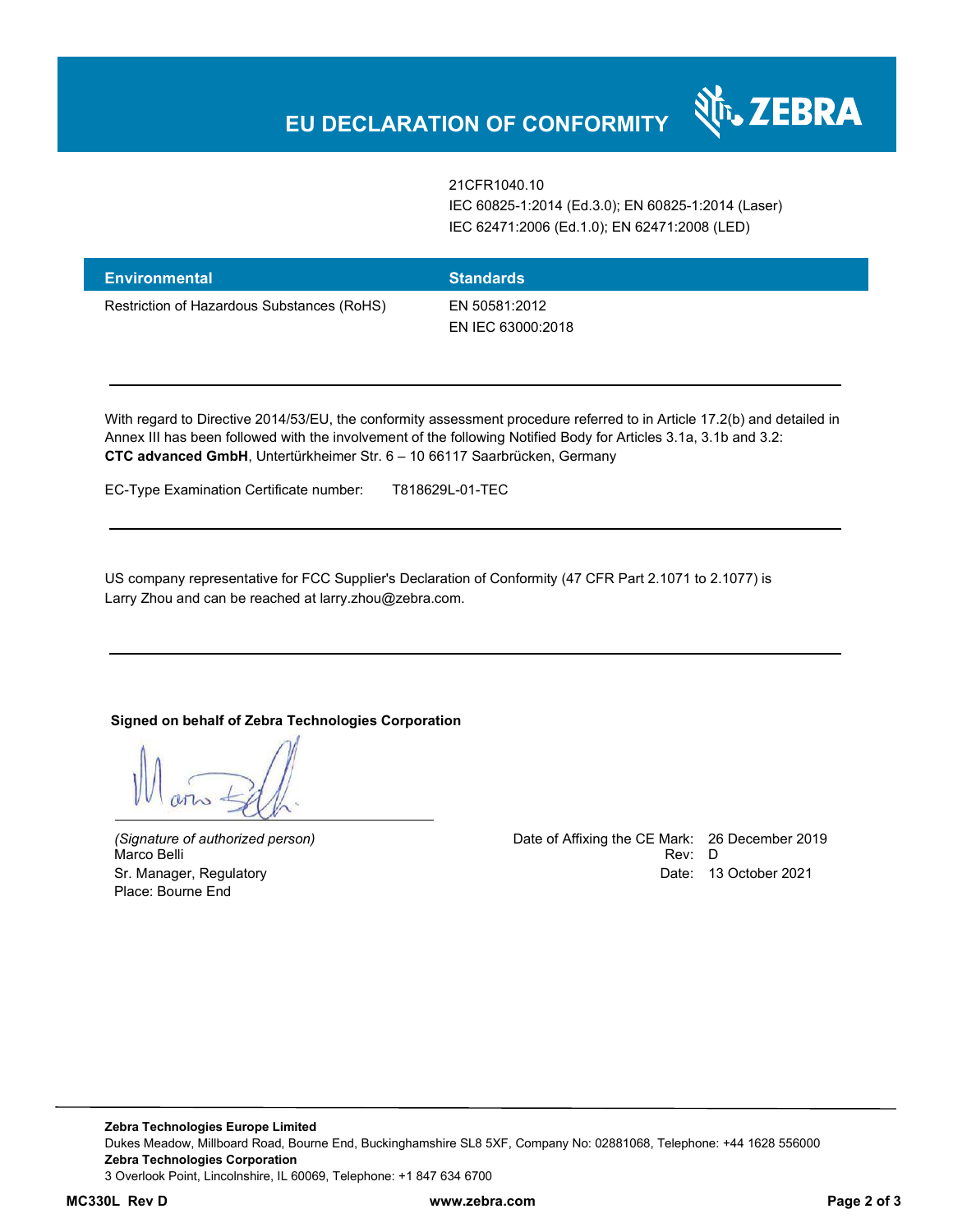21CFR1040.10 IEC 60825-1:2014 (Ed.3.0); EN 60825-1:2014 (Laser) IEC 62471:2006 (Ed.1.0); EN 62471:2008 (LED)

र्शे<sub>ं</sub> ZEBRA

| <b>Environmental</b>                       | <b>Standards</b>                   |
|--------------------------------------------|------------------------------------|
| Restriction of Hazardous Substances (RoHS) | EN 50581:2012<br>EN IEC 63000:2018 |

With regard to Directive 2014/53/EU, the conformity assessment procedure referred to in Article 17.2(b) and detailed in Annex III has been followed with the involvement of the following Notified Body for Articles 3.1a, 3.1b and 3.2: **CTC advanced GmbH**, Untertürkheimer Str. 6 – 10 66117 Saarbrücken, Germany

EC-Type Examination Certificate number: T818629L-01-TEC

US company representative for FCC Supplier's Declaration of Conformity (47 CFR Part 2.1071 to 2.1077) is Larry Zhou and can be reached at larry.zhou@zebra.com.

### **Signed on behalf of Zebra Technologies Corporation**

Marco Belli Place: Bourne End

*(Signature of authorized person)* Date of Affixing the CE Mark: 26 December 2019 Sr. Manager, Regulatory Date: 13 October 2021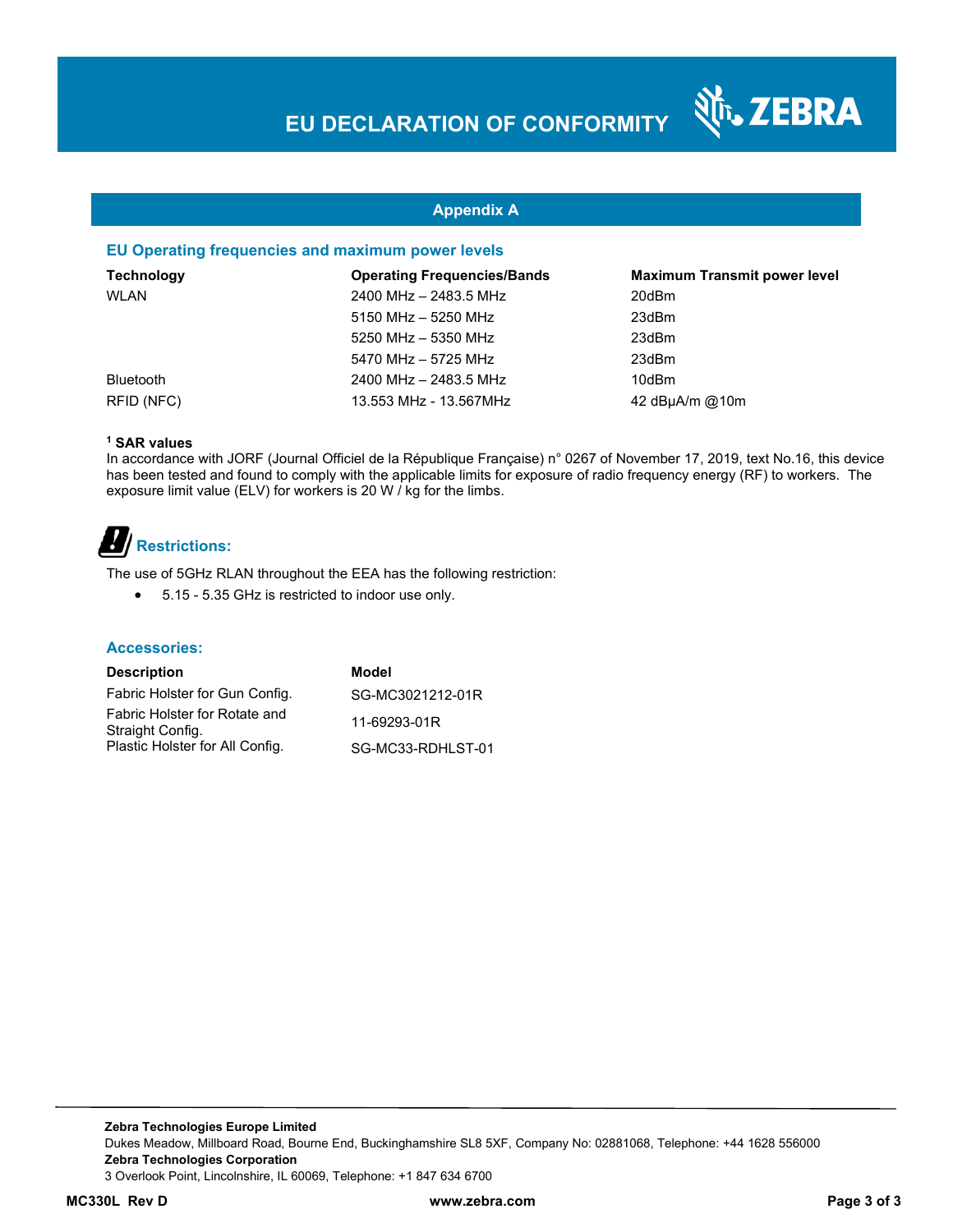N<sub>T</sub>, ZEBRA

### **Appendix A**

#### **EU Operating frequencies and maximum power levels**

| <b>Technology</b> | <b>Operating Frequencies/Bands</b> | <b>Maximum Transmit power level</b> |
|-------------------|------------------------------------|-------------------------------------|
| WLAN              | 2400 MHz - 2483.5 MHz              | 20dBm                               |
|                   | 5150 MHz - 5250 MHz                | 23dBm                               |
|                   | 5250 MHz - 5350 MHz                | 23dBm                               |
|                   | 5470 MHz - 5725 MHz                | 23dBm                               |
| <b>Bluetooth</b>  | 2400 MHz - 2483.5 MHz              | 10dBm                               |
| RFID (NFC)        | 13.553 MHz - 13.567MHz             | 42 dBuA/m @10m                      |

#### **1 SAR values**

In accordance with JORF (Journal Officiel de la République Française) n° 0267 of November 17, 2019, text No.16, this device has been tested and found to comply with the applicable limits for exposure of radio frequency energy (RF) to workers. The exposure limit value (ELV) for workers is 20 W / kg for the limbs.

# *B*/**Restrictions:**

The use of 5GHz RLAN throughout the EEA has the following restriction:

5.15 - 5.35 GHz is restricted to indoor use only.

#### **Accessories:**

| <b>Description</b>                                | Model             |
|---------------------------------------------------|-------------------|
| Fabric Holster for Gun Config.                    | SG-MC3021212-01R  |
| Fabric Holster for Rotate and<br>Straight Config. | 11-69293-01R      |
| Plastic Holster for All Config.                   | SG-MC33-RDHLST-01 |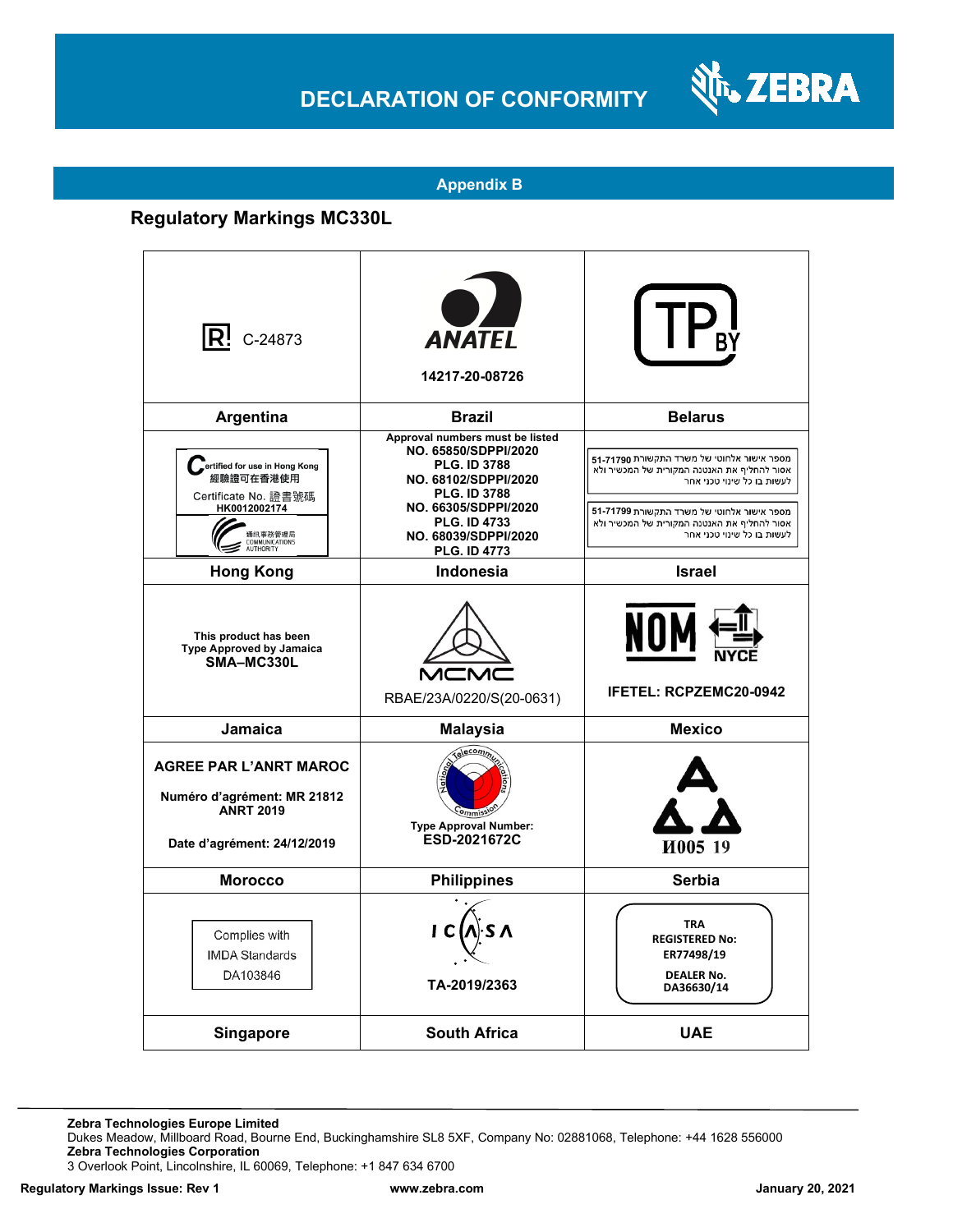## **DECLARATION OF CONFORMITY**



### **Appendix B**

### **Regulatory Markings MC330L**

| $\mathsf{R}^{\mathsf{I}}$ C-24873                                                                                             | <b>ANATEL</b><br>14217-20-08726                                                                                                                                                                                             |                                                                                                                                                                                                                                                    |
|-------------------------------------------------------------------------------------------------------------------------------|-----------------------------------------------------------------------------------------------------------------------------------------------------------------------------------------------------------------------------|----------------------------------------------------------------------------------------------------------------------------------------------------------------------------------------------------------------------------------------------------|
| Argentina                                                                                                                     | <b>Brazil</b>                                                                                                                                                                                                               | <b>Belarus</b>                                                                                                                                                                                                                                     |
| Fertified for use in Hong Kong<br>經驗證可在香港使用<br>Certificate No. 證書號碼<br>HK0012002174<br>通訊事務管理局<br>COMMUNICATIONS<br>AUTHORITY | Approval numbers must be listed<br>NO. 65850/SDPPI/2020<br><b>PLG. ID 3788</b><br>NO. 68102/SDPPI/2020<br><b>PLG. ID 3788</b><br>NO. 66305/SDPPI/2020<br><b>PLG. ID 4733</b><br>NO. 68039/SDPPI/2020<br><b>PLG. ID 4773</b> | מספר אישור אלחוטי של משרד התקשורת 71790-51<br>אסור להחליף את האנטנה המקורית של המכשיר ולא<br>לעשות בו כל שינוי טכני אחר<br>מספר אישור אלחוטי של משרד התקשורת 71799-51<br>אסור להחליף את האנטנה המקורית של המכשיר ולא<br>לעשות בו כל שינוי טכני אחר |
| <b>Hong Kong</b>                                                                                                              | <b>Indonesia</b>                                                                                                                                                                                                            | <b>Israel</b>                                                                                                                                                                                                                                      |
| This product has been<br><b>Type Approved by Jamaica</b><br>SMA-MC330L                                                        | MCN<br>RBAE/23A/0220/S(20-0631)                                                                                                                                                                                             | NOI<br><b>IFETEL: RCPZEMC20-0942</b>                                                                                                                                                                                                               |
| <b>Jamaica</b>                                                                                                                | <b>Malaysia</b>                                                                                                                                                                                                             | <b>Mexico</b>                                                                                                                                                                                                                                      |
| <b>AGREE PAR L'ANRT MAROC</b><br>Numéro d'agrément: MR 21812<br><b>ANRT 2019</b><br>Date d'agrément: 24/12/2019               | Telecomm<br><b>Type Approval Number:</b><br>ESD-2021672C                                                                                                                                                                    | И005 19                                                                                                                                                                                                                                            |
| <b>Morocco</b>                                                                                                                | <b>Philippines</b>                                                                                                                                                                                                          | Serbia                                                                                                                                                                                                                                             |
| Complies with<br><b>IMDA Standards</b><br>DA103846                                                                            | ۰s ۸<br>I C<br>TA-2019/2363                                                                                                                                                                                                 | <b>TRA</b><br><b>REGISTERED No:</b><br>ER77498/19<br><b>DEALER No.</b><br>DA36630/14                                                                                                                                                               |
| <b>Singapore</b>                                                                                                              | <b>South Africa</b>                                                                                                                                                                                                         | <b>UAE</b>                                                                                                                                                                                                                                         |

**Zebra Technologies Europe Limited**

Dukes Meadow, Millboard Road, Bourne End, Buckinghamshire SL8 5XF, Company No: 02881068, Telephone: +44 1628 556000 **Zebra Technologies Corporation** 

3 Overlook Point, Lincolnshire, IL 60069, Telephone: +1 847 634 6700